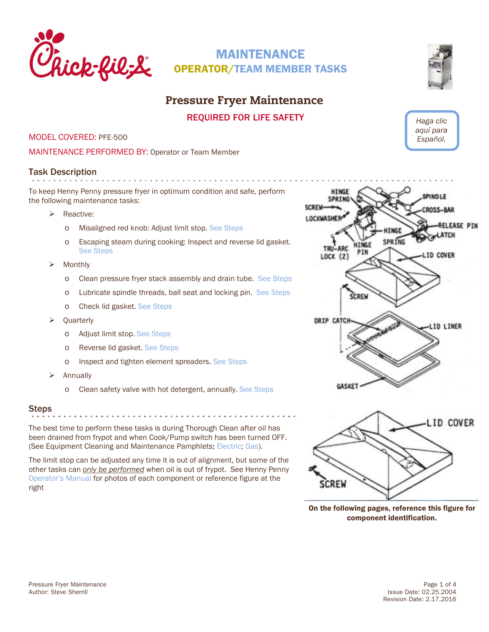<span id="page-0-0"></span>

## Pressure Fryer Maintenance

REQUIRED FOR LIFE SAFETY

MODEL COVERED: PFE-500

MAINTENANCE PERFORMED BY: Operator or Team Member

## Task Description

To keep Henny Penny pressure fryer in optimum condition and safe, perform the following maintenance tasks:

- > Reactive:
	- o Misaligned red knob: Adjust limit stop. [See Steps](#page-2-0)
	- o Escaping steam during cooking: Inspect and reverse lid gasket. [See Steps](#page-3-0)
- $\triangleright$  Monthly
	- o Clean pressure fryer stack assembly and drain tube. [See Steps](#page-1-0)
	- o Lubricate spindle threads, ball seat and locking pin. [See Steps](#page-1-1)
	- o Check lid gasket. [See Steps](#page-3-0)
- **Quarterly** 
	- o Adjust limit stop[. See Steps](#page-2-0)
	- o Reverse lid gasket. [See Steps](#page-3-0)
	- o Inspect and tighten element spreaders. [See Steps](#page-3-1)
- Annually
	- o Clean safety valve with hot detergent, annually. [See Steps](#page-3-2)

### Steps

The best time to perform these tasks is during Thorough Clean after oil has been drained from frypot and when Cook/Pump switch has been turned OFF. (See Equipment Cleaning and Maintenance Pamphlets: [Electric;](https://www.cfahome.com/cs/groups/etmdp-login/documents/document/etmdp_100730.pdf) [Gas\)](https://www.cfahome.com/cs/groups/etmdp-login/documents/document/etmdp_100706.pdf).

The limit stop can be adjusted any time it is out of alignment, but some of the other tasks can *only be performed* when oil is out of frypot. See Henny Penny [Operator's Manual](http://static.cfacdn.com/fmpublic/cfaprod_132295) for photos of each component or reference figure at the right









On the following pages, reference this figure for component identification.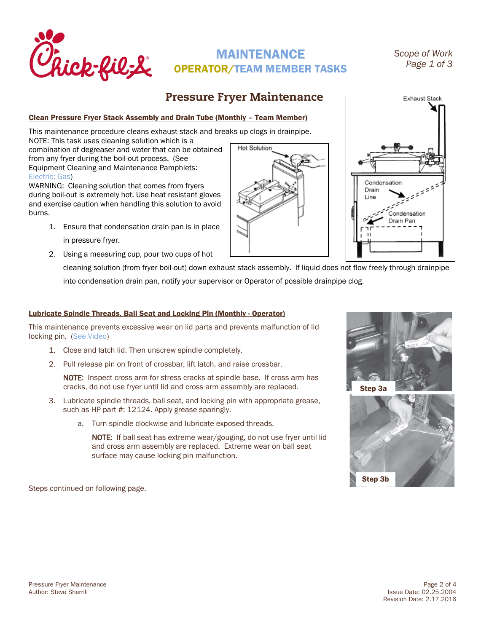<span id="page-1-1"></span>

Exhaust Stack

## Pressure Fryer Maintenance

### <span id="page-1-0"></span>Clean Pressure Fryer Stack Assembly and Drain Tube (Monthly – Team Member)

This maintenance procedure cleans exhaust stack and breaks up clogs in drainpipe.

NOTE: This task uses cleaning solution which is a combination of degreaser and water that can be obtained from any fryer during the boil-out process. (See Equipment Cleaning and Maintenance Pamphlets: [Electric;](https://www.cfahome.com/cs/groups/etmdp-login/documents/document/etmdp_100728.pdf) [Gas\)](https://www.cfahome.com/cs/groups/etmdp-login/documents/document/etmdp_100703.pdf)

WARNING: Cleaning solution that comes from fryers during boil-out is extremely hot. Use heat resistant gloves and exercise caution when handling this solution to avoid burns.

- 1. Ensure that condensation drain pan is in place in pressure fryer.
- 2. Using a measuring cup, pour two cups of hot

cleaning solution (from fryer boil-out) down exhaust stack assembly. If liquid does not flow freely through drainpipe into condensation drain pan, notify your supervisor or Operator of possible drainpipe clog.

### Lubricate Spindle Threads, Ball Seat and Locking Pin (Monthly - Operator)

This maintenance prevents excessive wear on lid parts and prevents malfunction of lid locking pin. [\(See Video\)](http://www.cfahome.com/video/?v=2242927526001)

- 1. Close and latch lid. Then unscrew spindle completely.
- 2. Pull release pin on front of crossbar, lift latch, and raise crossbar.

NOTE: Inspect cross arm for stress cracks at spindle base. If cross arm has cracks, do not use fryer until lid and cross arm assembly are replaced.

- 3. Lubricate spindle threads, ball seat, and locking pin with appropriate grease, such as HP part #: 12124. Apply grease sparingly.
	- a. Turn spindle clockwise and lubricate exposed threads.

NOTE: If ball seat has extreme wear/gouging, do not use fryer until lid and cross arm assembly are replaced. Extreme wear on ball seat surface may cause locking pin malfunction.

Steps continued on following page.



Condensation Drain J ine

> Condensation Drain Pan



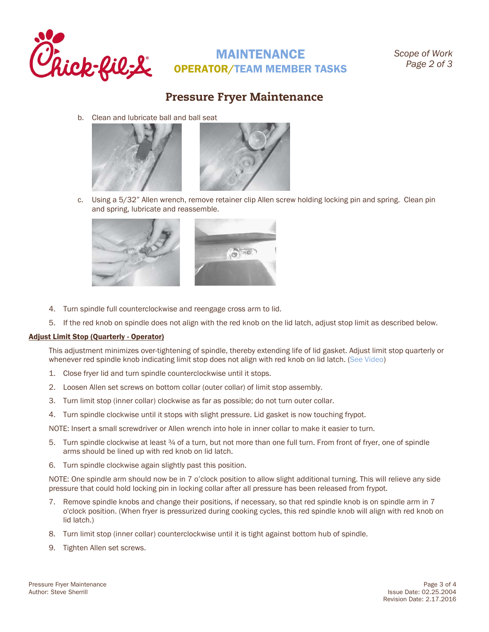

## Pressure Fryer Maintenance

b. Clean and lubricate ball and ball seat



c. Using a 5/32" Allen wrench, remove retainer clip Allen screw holding locking pin and spring. Clean pin and spring, lubricate and reassemble.



- 4. Turn spindle full counterclockwise and reengage cross arm to lid.
- 5. If the red knob on spindle does not align with the red knob on the lid latch, adjust stop limit as described below.

### <span id="page-2-0"></span>Adjust Limit Stop (Quarterly - Operator)

This adjustment minimizes over-tightening of spindle, thereby extending life of lid gasket. Adjust limit stop quarterly or whenever red spindle knob indicating limit stop does not align with red knob on lid latch. [\(See Video\)](http://www.cfahome.com/video/?v=2242908867001)

- 1. Close fryer lid and turn spindle counterclockwise until it stops.
- 2. Loosen Allen set screws on bottom collar (outer collar) of limit stop assembly.
- 3. Turn limit stop (inner collar) clockwise as far as possible; do not turn outer collar.
- 4. Turn spindle clockwise until it stops with slight pressure. Lid gasket is now touching frypot.

NOTE: Insert a small screwdriver or Allen wrench into hole in inner collar to make it easier to turn.

- 5. Turn spindle clockwise at least 34 of a turn, but not more than one full turn. From front of fryer, one of spindle arms should be lined up with red knob on lid latch.
- 6. Turn spindle clockwise again slightly past this position.

NOTE: One spindle arm should now be in 7 o'clock position to allow slight additional turning. This will relieve any side pressure that could hold locking pin in locking collar after all pressure has been released from frypot.

- 7. Remove spindle knobs and change their positions, if necessary, so that red spindle knob is on spindle arm in 7 o'clock position. (When fryer is pressurized during cooking cycles, this red spindle knob will align with red knob on lid latch.)
- 8. Turn limit stop (inner collar) counterclockwise until it is tight against bottom hub of spindle.
- 9. Tighten Allen set screws.

Pressure Fryer Maintenance **Page 3 of 4** Page 3 of 4 Author: Steve Sherrill **Issue Date: 02.25.2004** Issue Date: 02.25.2004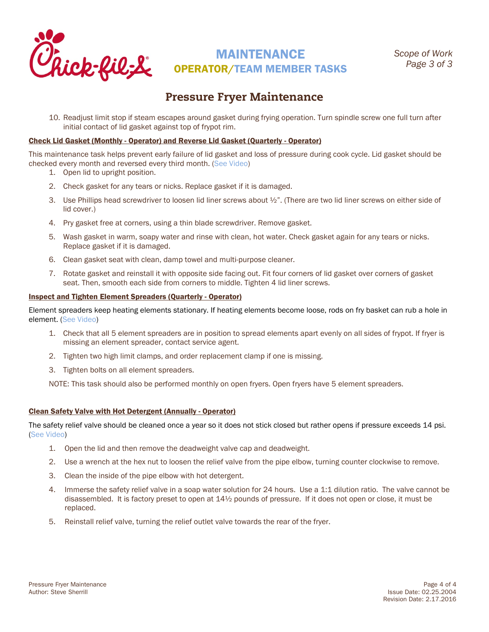

## Pressure Fryer Maintenance

10. Readjust limit stop if steam escapes around gasket during frying operation. Turn spindle screw one full turn after initial contact of lid gasket against top of frypot rim.

### <span id="page-3-0"></span>Check Lid Gasket (Monthly - Operator) and Reverse Lid Gasket (Quarterly - Operator)

This maintenance task helps prevent early failure of lid gasket and loss of pressure during cook cycle. Lid gasket should be checked every month and reversed every third month. [\(See Video\)](http://www.cfahome.com/video/?v=2310412999001)

- 1. Open lid to upright position.
- 2. Check gasket for any tears or nicks. Replace gasket if it is damaged.
- 3. Use Phillips head screwdriver to loosen lid liner screws about  $\frac{1}{2}$ ". (There are two lid liner screws on either side of lid cover.)
- 4. Pry gasket free at corners, using a thin blade screwdriver. Remove gasket.
- 5. Wash gasket in warm, soapy water and rinse with clean, hot water. Check gasket again for any tears or nicks. Replace gasket if it is damaged.
- 6. Clean gasket seat with clean, damp towel and multi-purpose cleaner.
- 7. Rotate gasket and reinstall it with opposite side facing out. Fit four corners of lid gasket over corners of gasket seat. Then, smooth each side from corners to middle. Tighten 4 lid liner screws.

### <span id="page-3-1"></span>Inspect and Tighten Element Spreaders (Quarterly - Operator)

Element spreaders keep heating elements stationary. If heating elements become loose, rods on fry basket can rub a hole in element. [\(See Video\)](http://www.cfahome.com/video/?v=2242908873001)

- 1. Check that all 5 element spreaders are in position to spread elements apart evenly on all sides of frypot. If fryer is missing an element spreader, contact service agent.
- 2. Tighten two high limit clamps, and order replacement clamp if one is missing.
- 3. Tighten bolts on all element spreaders.

NOTE: This task should also be performed monthly on open fryers. Open fryers have 5 element spreaders.

### <span id="page-3-2"></span>Clean Safety Valve with Hot Detergent (Annually - Operator)

The safety relief valve should be cleaned once a year so it does not stick closed but rather opens if pressure exceeds 14 psi. [\(See Video\)](http://www.cfahome.com/video/?v=2242908834001)

- 1. Open the lid and then remove the deadweight valve cap and deadweight.
- 2. Use a wrench at the hex nut to loosen the relief valve from the pipe elbow, turning counter clockwise to remove.
- 3. Clean the inside of the pipe elbow with hot detergent.
- 4. Immerse the safety relief valve in a soap water solution for 24 hours. Use a 1:1 dilution ratio. The valve cannot be disassembled. It is factory preset to open at 14½ pounds of pressure. If it does not open or close, it must be replaced.
- 5. Reinstall relief valve, turning the relief outlet valve towards the rear of the fryer.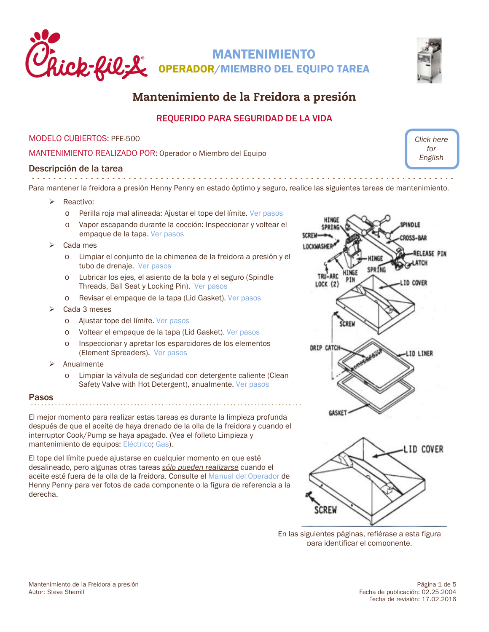<span id="page-4-0"></span>



*[Click here](#page-0-0)  for English*

# Mantenimiento de la Freidora a presión

### REQUERIDO PARA SEGURIDAD DE LA VIDA

### MODELO CUBIERTOS: PFE-500

MANTENIMIENTO REALIZADO POR: Operador o Miembro del Equipo

### Descripción de la tarea

Para mantener la freidora a presión Henny Penny en estado óptimo y seguro, realice las siguientes tareas de mantenimiento.

- Reactivo:
	- o Perilla roja mal alineada: Ajustar el tope del límite. [Ver pasos](#page-6-0)
	- Vapor escapando durante la cocción: Inspeccionar y voltear el empaque de la tapa. [Ver pasos](#page-7-0)
- Cada mes
	- o Limpiar el conjunto de la chimenea de la freidora a presión y el tubo de drenaje. [Ver pasos](#page-5-0)
	- o Lubricar los ejes, el asiento de la bola y el seguro (Spindle Threads, Ball Seat y Locking Pin). [Ver pasos](#page-5-1)
	- o Revisar el empaque de la tapa (Lid Gasket)[. Ver pasos](#page-7-0)
- Cada 3 meses
	- o Ajustar tope del límite. [Ver pasos](#page-6-0)
	- o Voltear el empaque de la tapa (Lid Gasket). [Ver pasos](#page-7-0)
	- o Inspeccionar y apretar los esparcidores de los elementos (Element Spreaders). [Ver pasos](#page-7-1)
- $\triangleright$  Anualmente
	- Limpiar la válvula de seguridad con detergente caliente (Clean Safety Valve with Hot Detergent), anualmente[. Ver pasos](#page-8-0)

### Pasos

El mejor momento para realizar estas tareas es durante la limpieza profunda después de que el aceite de haya drenado de la olla de la freidora y cuando el interruptor Cook/Pump se haya apagado. (Vea el folleto Limpieza y mantenimiento de equipos: [Eléctrico;](https://www.cfahome.com/cs/groups/etmdp-login/documents/document/etmdp_100843.pdf) [Gas\)](https://www.cfahome.com/cs/groups/etmdp-login/documents/document/etmdp_100819.pdf).

El tope del límite puede ajustarse en cualquier momento en que esté desalineado, pero algunas otras tareas *sólo pueden realizarse* cuando el aceite esté fuera de la olla de la freidora. Consulte el [Manual del Operador](http://static.cfacdn.com/fmpublic/cfaprod_132295) de Henny Penny para ver fotos de cada componente o la figura de referencia a la derecha.





En las siguientes páginas, refiérase a esta figura para identificar el componente.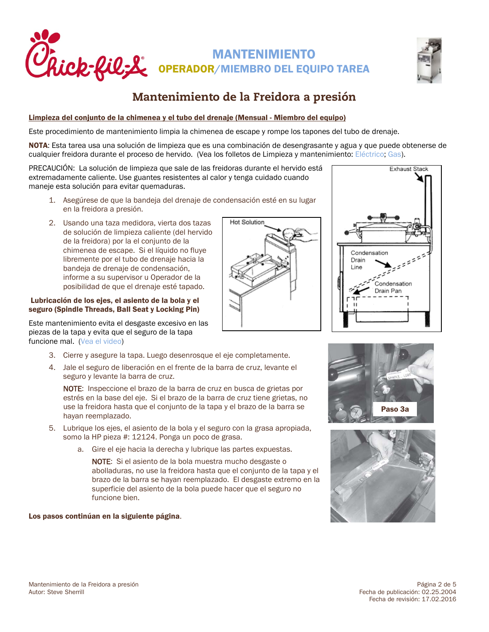



### <span id="page-5-0"></span>Limpieza del conjunto de la chimenea y el tubo del drenaje (Mensual - Miembro del equipo)

Este procedimiento de mantenimiento limpia la chimenea de escape y rompe los tapones del tubo de drenaje.

NOTA: Esta tarea usa una solución de limpieza que es una combinación de desengrasante y agua y que puede obtenerse de cualquier freidora durante el proceso de hervido. (Vea los folletos de Limpieza y mantenimiento: [Eléctrico;](https://www.cfahome.com/cs/groups/etmdp-login/documents/document/etmdp_100841.pdf) [Gas\)](https://www.cfahome.com/cs/groups/etmdp-login/documents/document/etmdp_100816.pdf).

PRECAUCIÓN: La solución de limpieza que sale de las freidoras durante el hervido está extremadamente caliente. Use guantes resistentes al calor y tenga cuidado cuando maneje esta solución para evitar quemaduras.

- 1. Asegúrese de que la bandeja del drenaje de condensación esté en su lugar en la freidora a presión.
- 2. Usando una taza medidora, vierta dos tazas de solución de limpieza caliente (del hervido de la freidora) por la el conjunto de la chimenea de escape. Si el líquido no fluye libremente por el tubo de drenaje hacia la bandeja de drenaje de condensación, informe a su supervisor u Operador de la posibilidad de que el drenaje esté tapado.

### <span id="page-5-1"></span>Lubricación de los ejes, el asiento de la bola y el seguro (Spindle Threads, Ball Seat y Locking Pin)

Este mantenimiento evita el desgaste excesivo en las piezas de la tapa y evita que el seguro de la tapa funcione mal. [\(Vea el video\)](http://www.cfahome.com/video/?v=2242927526001)

- 3. Cierre y asegure la tapa. Luego desenrosque el eje completamente.
- 4. Jale el seguro de liberación en el frente de la barra de cruz, levante el seguro y levante la barra de cruz.

NOTE: Inspeccione el brazo de la barra de cruz en busca de grietas por estrés en la base del eje. Si el brazo de la barra de cruz tiene grietas, no use la freidora hasta que el conjunto de la tapa y el brazo de la barra se hayan reemplazado.

- 5. Lubrique los ejes, el asiento de la bola y el seguro con la grasa apropiada, somo la HP pieza #: 12124. Ponga un poco de grasa.
	- a. Gire el eje hacia la derecha y lubrique las partes expuestas.

NOTE: Si el asiento de la bola muestra mucho desgaste o abolladuras, no use la freidora hasta que el conjunto de la tapa y el brazo de la barra se hayan reemplazado. El desgaste extremo en la superficie del asiento de la bola puede hacer que el seguro no funcione bien.

Los pasos continúan en la siguiente página.







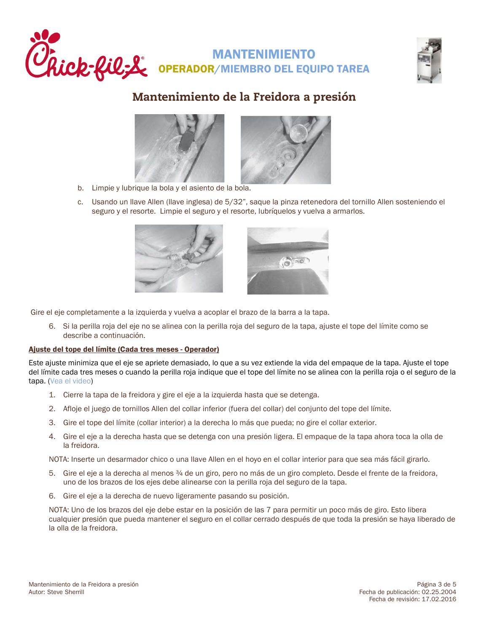





- b. Limpie y lubrique la bola y el asiento de la bola.
- c. Usando un llave Allen (llave inglesa) de 5/32", saque la pinza retenedora del tornillo Allen sosteniendo el seguro y el resorte. Limpie el seguro y el resorte, lubríquelos y vuelva a armarlos.



Gire el eje completamente a la izquierda y vuelva a acoplar el brazo de la barra a la tapa.

6. Si la perilla roja del eje no se alinea con la perilla roja del seguro de la tapa, ajuste el tope del límite como se describe a continuación.

### <span id="page-6-0"></span>Ajuste del tope del límite (Cada tres meses - Operador)

Este ajuste minimiza que el eje se apriete demasiado, lo que a su vez extiende la vida del empaque de la tapa. Ajuste el tope del límite cada tres meses o cuando la perilla roja indique que el tope del límite no se alinea con la perilla roja o el seguro de la tapa. [\(Vea el video\)](http://www.cfahome.com/video/?v=2242908867001)

- 1. Cierre la tapa de la freidora y gire el eje a la izquierda hasta que se detenga.
- 2. Afloje el juego de tornillos Allen del collar inferior (fuera del collar) del conjunto del tope del límite.
- 3. Gire el tope del límite (collar interior) a la derecha lo más que pueda; no gire el collar exterior.
- 4. Gire el eje a la derecha hasta que se detenga con una presión ligera. El empaque de la tapa ahora toca la olla de la freidora.

NOTA: Inserte un desarmador chico o una llave Allen en el hoyo en el collar interior para que sea más fácil girarlo.

- 5. Gire el eje a la derecha al menos ¾ de un giro, pero no más de un giro completo. Desde el frente de la freidora, uno de los brazos de los ejes debe alinearse con la perilla roja del seguro de la tapa.
- 6. Gire el eje a la derecha de nuevo ligeramente pasando su posición.

NOTA: Uno de los brazos del eje debe estar en la posición de las 7 para permitir un poco más de giro. Esto libera cualquier presión que pueda mantener el seguro en el collar cerrado después de que toda la presión se haya liberado de la olla de la freidora.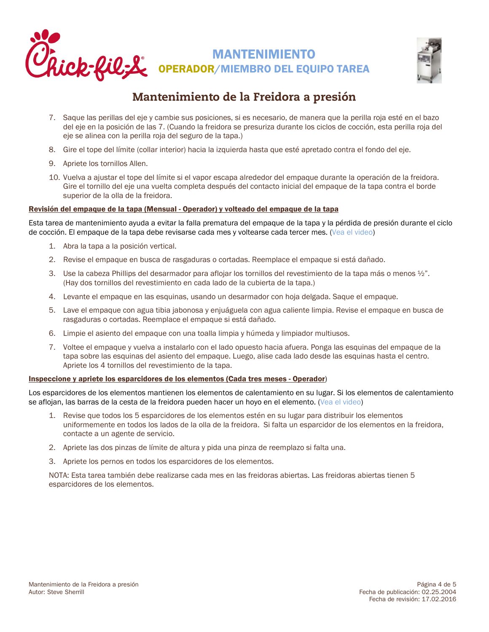



- 7. Saque las perillas del eje y cambie sus posiciones, si es necesario, de manera que la perilla roja esté en el bazo del eje en la posición de las 7. (Cuando la freidora se presuriza durante los ciclos de cocción, esta perilla roja del eje se alinea con la perilla roja del seguro de la tapa.)
- 8. Gire el tope del límite (collar interior) hacia la izquierda hasta que esté apretado contra el fondo del eje.
- 9. Apriete los tornillos Allen.
- 10. Vuelva a ajustar el tope del límite si el vapor escapa alrededor del empaque durante la operación de la freidora. Gire el tornillo del eje una vuelta completa después del contacto inicial del empaque de la tapa contra el borde superior de la olla de la freidora.

### <span id="page-7-0"></span>Revisión del empaque de la tapa (Mensual - Operador) y volteado del empaque de la tapa

Esta tarea de mantenimiento ayuda a evitar la falla prematura del empaque de la tapa y la pérdida de presión durante el ciclo de cocción. El empaque de la tapa debe revisarse cada mes y voltearse cada tercer mes. [\(Vea el video\)](http://www.cfahome.com/video/?v=2310412999001)

- 1. Abra la tapa a la posición vertical.
- 2. Revise el empaque en busca de rasgaduras o cortadas. Reemplace el empaque si está dañado.
- 3. Use la cabeza Phillips del desarmador para aflojar los tornillos del revestimiento de la tapa más o menos ½". (Hay dos tornillos del revestimiento en cada lado de la cubierta de la tapa.)
- 4. Levante el empaque en las esquinas, usando un desarmador con hoja delgada. Saque el empaque.
- 5. Lave el empaque con agua tibia jabonosa y enjuáguela con agua caliente limpia. Revise el empaque en busca de rasgaduras o cortadas. Reemplace el empaque si está dañado.
- 6. Limpie el asiento del empaque con una toalla limpia y húmeda y limpiador multiusos.
- 7. Voltee el empaque y vuelva a instalarlo con el lado opuesto hacia afuera. Ponga las esquinas del empaque de la tapa sobre las esquinas del asiento del empaque. Luego, alise cada lado desde las esquinas hasta el centro. Apriete los 4 tornillos del revestimiento de la tapa.

### <span id="page-7-1"></span>Inspeccione y apriete los esparcidores de los elementos (Cada tres meses - Operador)

Los esparcidores de los elementos mantienen los elementos de calentamiento en su lugar. Si los elementos de calentamiento se aflojan, las barras de la cesta de la freidora pueden hacer un hoyo en el elemento. [\(Vea el video\)](http://www.cfahome.com/video/?v=2242908873001)

- 1. Revise que todos los 5 esparcidores de los elementos estén en su lugar para distribuir los elementos uniformemente en todos los lados de la olla de la freidora. Si falta un esparcidor de los elementos en la freidora, contacte a un agente de servicio.
- 2. Apriete las dos pinzas de límite de altura y pida una pinza de reemplazo si falta una.
- 3. Apriete los pernos en todos los esparcidores de los elementos.

NOTA: Esta tarea también debe realizarse cada mes en las freidoras abiertas. Las freidoras abiertas tienen 5 esparcidores de los elementos.